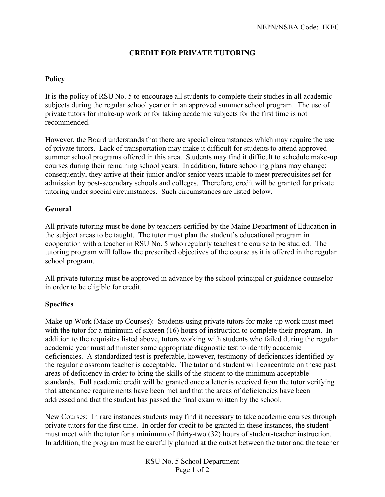## **CREDIT FOR PRIVATE TUTORING**

## **Policy**

It is the policy of RSU No. 5 to encourage all students to complete their studies in all academic subjects during the regular school year or in an approved summer school program. The use of private tutors for make-up work or for taking academic subjects for the first time is not recommended.

However, the Board understands that there are special circumstances which may require the use of private tutors. Lack of transportation may make it difficult for students to attend approved summer school programs offered in this area. Students may find it difficult to schedule make-up courses during their remaining school years. In addition, future schooling plans may change; consequently, they arrive at their junior and/or senior years unable to meet prerequisites set for admission by post-secondary schools and colleges. Therefore, credit will be granted for private tutoring under special circumstances. Such circumstances are listed below.

## **General**

All private tutoring must be done by teachers certified by the Maine Department of Education in the subject areas to be taught. The tutor must plan the student's educational program in cooperation with a teacher in RSU No. 5 who regularly teaches the course to be studied. The tutoring program will follow the prescribed objectives of the course as it is offered in the regular school program.

All private tutoring must be approved in advance by the school principal or guidance counselor in order to be eligible for credit.

## **Specifics**

Make-up Work (Make-up Courses): Students using private tutors for make-up work must meet with the tutor for a minimum of sixteen (16) hours of instruction to complete their program. In addition to the requisites listed above, tutors working with students who failed during the regular academic year must administer some appropriate diagnostic test to identify academic deficiencies. A standardized test is preferable, however, testimony of deficiencies identified by the regular classroom teacher is acceptable. The tutor and student will concentrate on these past areas of deficiency in order to bring the skills of the student to the minimum acceptable standards. Full academic credit will be granted once a letter is received from the tutor verifying that attendance requirements have been met and that the areas of deficiencies have been addressed and that the student has passed the final exam written by the school.

New Courses: In rare instances students may find it necessary to take academic courses through private tutors for the first time. In order for credit to be granted in these instances, the student must meet with the tutor for a minimum of thirty-two (32) hours of student-teacher instruction. In addition, the program must be carefully planned at the outset between the tutor and the teacher

> RSU No. 5 School Department Page 1 of 2